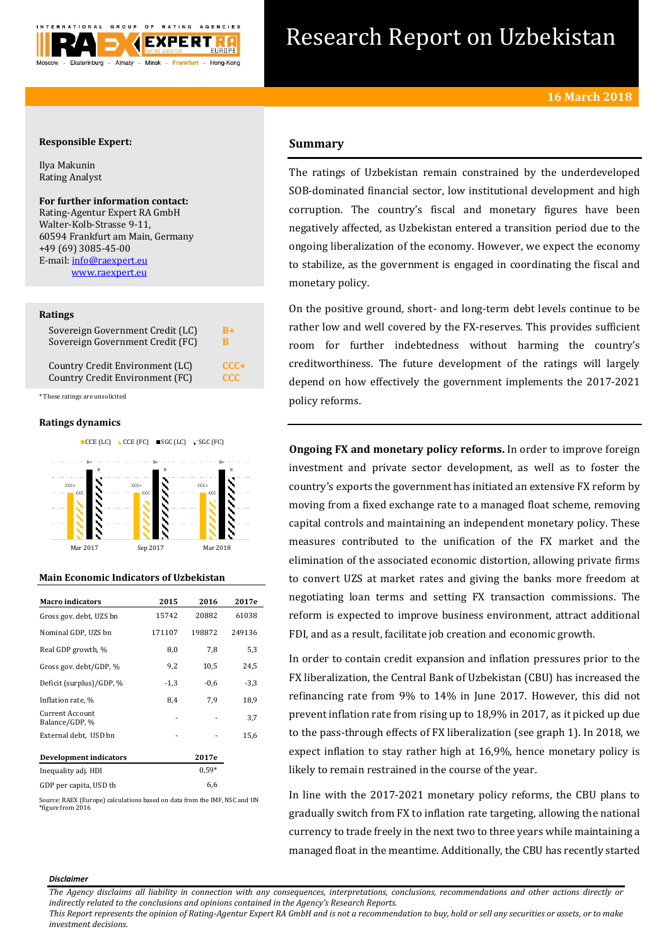

# Research Report on Uzbekistan

## **Responsible Expert:**

Ilya Makunin Rating Analyst

**For further information contact:** Rating-Agentur Expert RA GmbH Walter-Kolb-Strasse 9-11, 60594 Frankfurt am Main, Germany +49 (69) 3085-45-00 E-mail[: info@raexpert.eu](mailto:info@raexpert.eu) [www.raexpert.eu](http://raexpert.eu/)

## **Ratings**

| Sovereign Government Credit (LC) | R+      |
|----------------------------------|---------|
| Sovereign Government Credit (FC) | R       |
| Country Credit Environment (LC)  | $CCC +$ |
| Country Credit Environment (FC)  | CCC.    |

\* These ratings are unsolicited

## **Ratings dynamics**





## **Main Economic Indicators of Uzbekistan**

| <b>Macro indicators</b>           | 2015   | 2016    | 2017e  |
|-----------------------------------|--------|---------|--------|
| Gross gov. debt, UZS bn           | 15742  | 20882   | 61038  |
| Nominal GDP, UZS bn               | 171107 | 198872  | 249136 |
| Real GDP growth, %                | 8,0    | 7,8     | 5,3    |
| Gross gov. debt/GDP, %            | 9,2    | 10,5    | 24,5   |
| Deficit (surplus)/GDP, %          | $-1,3$ | $-0,6$  | $-3,3$ |
| Inflation rate, %                 | 8,4    | 7.9     | 18,9   |
| Current Account<br>Balance/GDP, % |        |         | 3,7    |
| External debt, USD bn             |        |         | 15,6   |
| <b>Development indicators</b>     |        | 2017e   |        |
| Inequality adj. HDI               |        | $0.59*$ |        |
| GDP per capita, USD th            |        | 6,6     |        |

Source: RAEX (Europe) calculations based on data from the IMF, NSC and UN \*figure from 2016

# **Summary**

The ratings of Uzbekistan remain constrained by the underdeveloped SOB-dominated financial sector, low institutional development and high corruption. The country's fiscal and monetary figures have been negatively affected, as Uzbekistan entered a transition period due to the ongoing liberalization of the economy. However, we expect the economy to stabilize, as the government is engaged in coordinating the fiscal and monetary policy.

On the positive ground, short- and long-term debt levels continue to be rather low and well covered by the FX-reserves. This provides sufficient room for further indebtedness without harming the country's creditworthiness. The future development of the ratings will largely depend on how effectively the government implements the 2017-2021 policy reforms.

**Ongoing FX and monetary policy reforms.** In order to improve foreign investment and private sector development, as well as to foster the country's exports the government has initiated an extensive FX reform by moving from a fixed exchange rate to a managed float scheme, removing capital controls and maintaining an independent monetary policy. These measures contributed to the unification of the FX market and the elimination of the associated economic distortion, allowing private firms to convert UZS at market rates and giving the banks more freedom at negotiating loan terms and setting FX transaction commissions. The reform is expected to improve business environment, attract additional FDI, and as a result, facilitate job creation and economic growth.

In order to contain credit expansion and inflation pressures prior to the FX liberalization, the Central Bank of Uzbekistan (CBU) has increased the refinancing rate from 9% to 14% in June 2017. However, this did not prevent inflation rate from rising up to 18,9% in 2017, as it picked up due to the pass-through effects of FX liberalization (see graph 1). In 2018, we expect inflation to stay rather high at 16,9%, hence monetary policy is likely to remain restrained in the course of the year.

In line with the 2017-2021 monetary policy reforms, the CBU plans to gradually switch from FX to inflation rate targeting, allowing the national currency to trade freely in the next two to three years while maintaining a managed float in the meantime. Additionally, the CBU has recently started

#### *Disclaimer*

*The Agency disclaims all liability in connection with any consequences, interpretations, conclusions, recommendations and other actions directly or indirectly related to the conclusions and opinions contained in the Agency's Research Reports.*

*This Report represents the opinion of Rating-Agentur Expert RA GmbH and is not a recommendation to buy, hold or sell any securities or assets, or to make investment decisions.*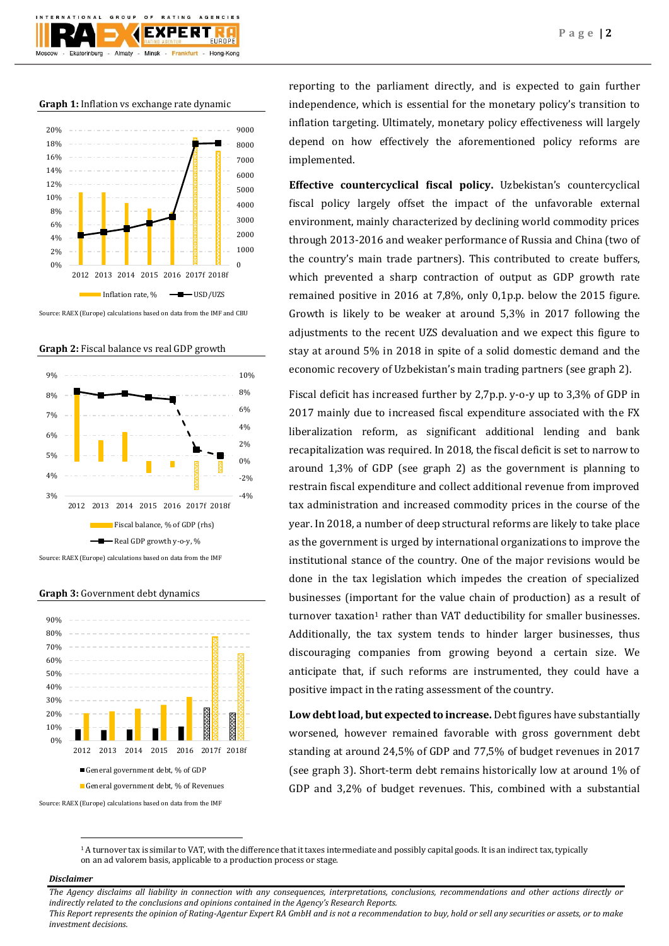

**Graph 1:** Inflation vs exchange rate dynamic



Source: RAEX (Europe) calculations based on data from the IMF and CBU





**Graph 3:** Government debt dynamics



Source: RAEX (Europe) calculations based on data from the IMF

reporting to the parliament directly, and is expected to gain further independence, which is essential for the monetary policy's transition to inflation targeting. Ultimately, monetary policy effectiveness will largely depend on how effectively the aforementioned policy reforms are implemented.

**Effective countercyclical fiscal policy.** Uzbekistan's countercyclical fiscal policy largely offset the impact of the unfavorable external environment, mainly characterized by declining world commodity prices through 2013-2016 and weaker performance of Russia and China (two of the country's main trade partners). This contributed to create buffers, which prevented a sharp contraction of output as GDP growth rate remained positive in 2016 at 7,8%, only 0,1p.p. below the 2015 figure. Growth is likely to be weaker at around 5,3% in 2017 following the adjustments to the recent UZS devaluation and we expect this figure to stay at around 5% in 2018 in spite of a solid domestic demand and the economic recovery of Uzbekistan's main trading partners (see graph 2).

Fiscal deficit has increased further by 2,7p.p. y-o-y up to 3,3% of GDP in 2017 mainly due to increased fiscal expenditure associated with the FX liberalization reform, as significant additional lending and bank recapitalization was required. In 2018, the fiscal deficit is set to narrow to around 1,3% of GDP (see graph 2) as the government is planning to restrain fiscal expenditure and collect additional revenue from improved tax administration and increased commodity prices in the course of the year. In 2018, a number of deep structural reforms are likely to take place as the government is urged by international organizations to improve the institutional stance of the country. One of the major revisions would be done in the tax legislation which impedes the creation of specialized businesses (important for the value chain of production) as a result of turnover taxation<sup>1</sup> rather than VAT deductibility for smaller businesses. Additionally, the tax system tends to hinder larger businesses, thus discouraging companies from growing beyond a certain size. We anticipate that, if such reforms are instrumented, they could have a positive impact in the rating assessment of the country.

**Low debt load, but expected to increase.** Debt figures have substantially worsened, however remained favorable with gross government debt standing at around 24,5% of GDP and 77,5% of budget revenues in 2017 (see graph 3). Short-term debt remains historically low at around 1% of GDP and 3,2% of budget revenues. This, combined with a substantial

<sup>1</sup> A turnover tax is similar to VAT, with the difference that it taxes intermediate and possibly capital goods. It is an indirect tax, typically on an ad valorem basis, applicable to a production process or stage.

## *Disclaimer*

 $\overline{a}$ 

*The Agency disclaims all liability in connection with any consequences, interpretations, conclusions, recommendations and other actions directly or indirectly related to the conclusions and opinions contained in the Agency's Research Reports. This Report represents the opinion of Rating-Agentur Expert RA GmbH and is not a recommendation to buy, hold or sell any securities or assets, or to make investment decisions.*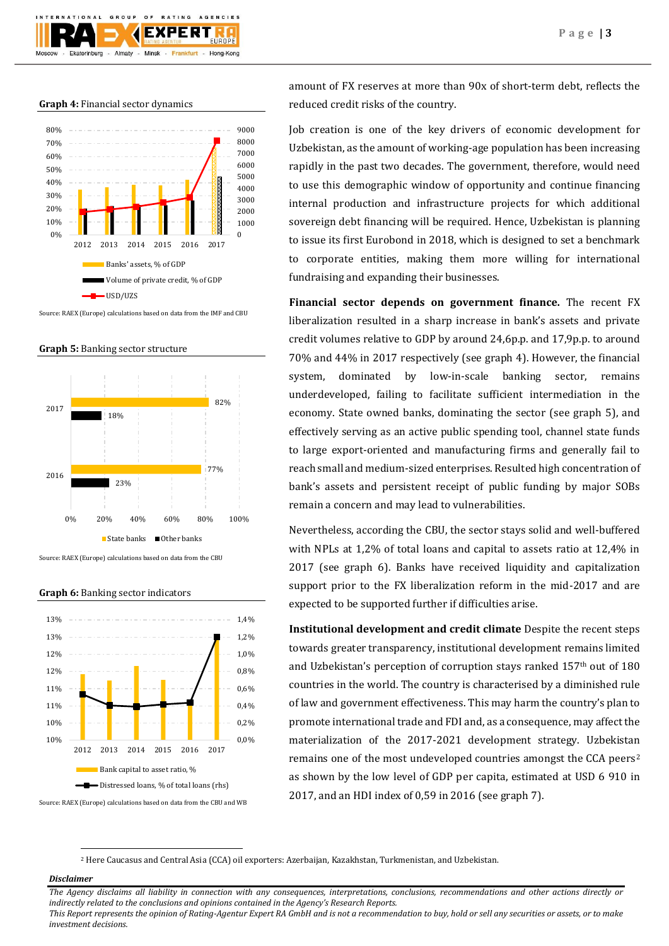

**Graph 4:** Financial sector dynamics



Source: RAEX (Europe) calculations based on data from the IMF and CBU



**Graph 5:** Banking sector structure

Source: RAEX (Europe) calculations based on data from the CBU

Source: RAEX (Europe) calculations based on data from the CBU and WB 0,0% 0,2% 0,4% 0,6% 0,8% 1,0% 1,2% 1,4% 10% 10% 11% 11% 12% 12% 13% 13% 2012 2013 2014 2015 2016 2017 Bank capital to asset ratio, % Distressed loans, % of total loans (rhs)

**Graph 6:** Banking sector indicators

amount of FX reserves at more than 90x of short-term debt, reflects the reduced credit risks of the country.

Job creation is one of the key drivers of economic development for Uzbekistan, as the amount of working-age population has been increasing rapidly in the past two decades. The government, therefore, would need to use this demographic window of opportunity and continue financing internal production and infrastructure projects for which additional sovereign debt financing will be required. Hence, Uzbekistan is planning to issue its first Eurobond in 2018, which is designed to set a benchmark to corporate entities, making them more willing for international fundraising and expanding their businesses.

**Financial sector depends on government finance.** The recent FX liberalization resulted in a sharp increase in bank's assets and private credit volumes relative to GDP by around 24,6p.p. and 17,9p.p. to around 70% and 44% in 2017 respectively (see graph 4). However, the financial system, dominated by low-in-scale banking sector, remains underdeveloped, failing to facilitate sufficient intermediation in the economy. State owned banks, dominating the sector (see graph 5), and effectively serving as an active public spending tool, channel state funds to large export-oriented and manufacturing firms and generally fail to reach small and medium-sized enterprises. Resulted high concentration of bank's assets and persistent receipt of public funding by major SOBs remain a concern and may lead to vulnerabilities.

Nevertheless, according the CBU, the sector stays solid and well-buffered with NPLs at 1,2% of total loans and capital to assets ratio at 12,4% in 2017 (see graph 6). Banks have received liquidity and capitalization support prior to the FX liberalization reform in the mid-2017 and are expected to be supported further if difficulties arise.

**Institutional development and credit climate** Despite the recent steps towards greater transparency, institutional development remains limited and Uzbekistan's perception of corruption stays ranked 157<sup>th</sup> out of 180 countries in the world. The country is characterised by a diminished rule of law and government effectiveness. This may harm the country's plan to promote international trade and FDI and, as a consequence, may affect the materialization of the 2017-2021 development strategy. Uzbekistan remains one of the most undeveloped countries amongst the CCA peers<sup>2</sup> as shown by the low level of GDP per capita, estimated at USD 6 910 in 2017, and an HDI index of 0,59 in 2016 (see graph 7).

<sup>2</sup> Here Caucasus and Central Asia (CCA) oil exporters: Azerbaijan, Kazakhstan, Turkmenistan, and Uzbekistan.

## *Disclaimer*

1

*The Agency disclaims all liability in connection with any consequences, interpretations, conclusions, recommendations and other actions directly or indirectly related to the conclusions and opinions contained in the Agency's Research Reports. This Report represents the opinion of Rating-Agentur Expert RA GmbH and is not a recommendation to buy, hold or sell any securities or assets, or to make investment decisions.*